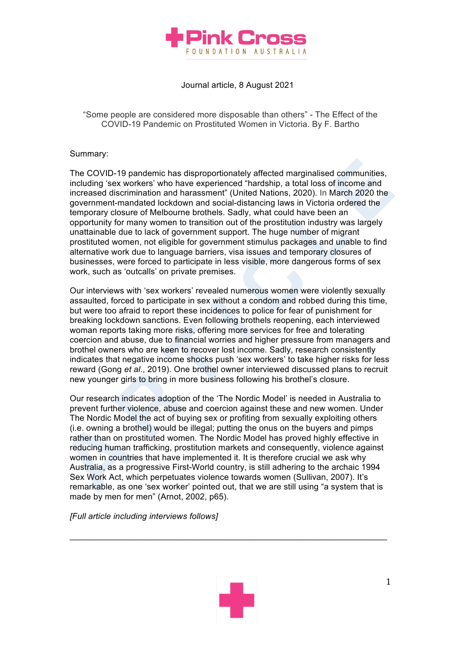

Journal article, 8 August 2021

"Some people are considered more disposable than others" - The Effect of the COVID-19 Pandemic on Prostituted Women in Victoria. By F. Bartho

## Summary:

The COVID-19 pandemic has disproportionately affected marginalised communities, including 'sex workers' who have experienced "hardship, a total loss of income and increased discrimination and harassment" (United Nations, 2020). In March 2020 the government-mandated lockdown and social-distancing laws in Victoria ordered the temporary closure of Melbourne brothels. Sadly, what could have been an opportunity for many women to transition out of the prostitution industry was largely unattainable due to lack of government support. The huge number of migrant prostituted women, not eligible for government stimulus packages and unable to find alternative work due to language barriers, visa issues and temporary closures of businesses, were forced to participate in less visible, more dangerous forms of sex work, such as 'outcalls' on private premises.

Our interviews with 'sex workers' revealed numerous women were violently sexually assaulted, forced to participate in sex without a condom and robbed during this time, but were too afraid to report these incidences to police for fear of punishment for breaking lockdown sanctions. Even following brothels reopening, each interviewed woman reports taking more risks, offering more services for free and tolerating coercion and abuse, due to financial worries and higher pressure from managers and brothel owners who are keen to recover lost income. Sadly, research consistently indicates that negative income shocks push 'sex workers' to take higher risks for less reward (Gong *et al*., 2019). One brothel owner interviewed discussed plans to recruit new younger girls to bring in more business following his brothel's closure.

Our research indicates adoption of the 'The Nordic Model' is needed in Australia to prevent further violence, abuse and coercion against these and new women. Under The Nordic Model the act of buying sex or profiting from sexually exploiting others (i.e. owning a brothel) would be illegal; putting the onus on the buyers and pimps rather than on prostituted women. The Nordic Model has proved highly effective in reducing human trafficking, prostitution markets and consequently, violence against women in countries that have implemented it. It is therefore crucial we ask why Australia, as a progressive First-World country, is still adhering to the archaic 1994 Sex Work Act, which perpetuates violence towards women (Sullivan, 2007). It's remarkable, as one 'sex worker' pointed out, that we are still using "a system that is made by men for men" (Arnot, 2002, p65).

 $\_$  , and the set of the set of the set of the set of the set of the set of the set of the set of the set of the set of the set of the set of the set of the set of the set of the set of the set of the set of the set of th

*[Full article including interviews follows]*

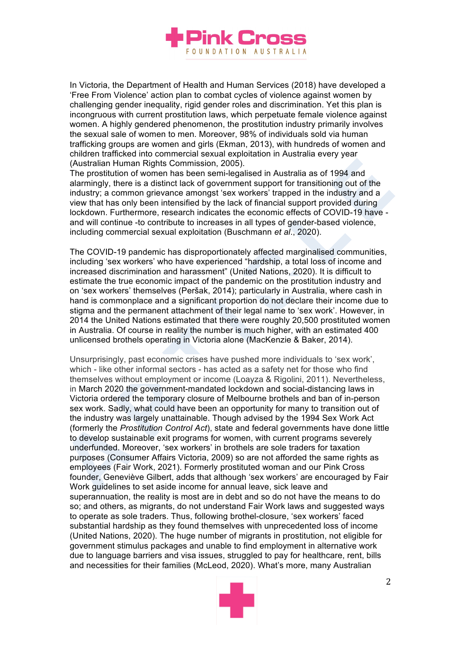

In Victoria, the Department of Health and Human Services (2018) have developed a 'Free From Violence' action plan to combat cycles of violence against women by challenging gender inequality, rigid gender roles and discrimination. Yet this plan is incongruous with current prostitution laws, which perpetuate female violence against women. A highly gendered phenomenon, the prostitution industry primarily involves the sexual sale of women to men. Moreover, 98% of individuals sold via human trafficking groups are women and girls (Ekman, 2013), with hundreds of women and children trafficked into commercial sexual exploitation in Australia every year (Australian Human Rights Commission, 2005).

The prostitution of women has been semi-legalised in Australia as of 1994 and alarmingly, there is a distinct lack of government support for transitioning out of the industry; a common grievance amongst 'sex workers' trapped in the industry and a view that has only been intensified by the lack of financial support provided during lockdown. Furthermore, research indicates the economic effects of COVID-19 have and will continue -to contribute to increases in all types of gender-based violence, including commercial sexual exploitation (Buschmann *et al*., 2020).

The COVID-19 pandemic has disproportionately affected marginalised communities, including 'sex workers' who have experienced "hardship, a total loss of income and increased discrimination and harassment" (United Nations, 2020). It is difficult to estimate the true economic impact of the pandemic on the prostitution industry and on 'sex workers' themselves (Peršak, 2014); particularly in Australia, where cash in hand is commonplace and a significant proportion do not declare their income due to stigma and the permanent attachment of their legal name to 'sex work'. However, in 2014 the United Nations estimated that there were roughly 20,500 prostituted women in Australia. Of course in reality the number is much higher, with an estimated 400 unlicensed brothels operating in Victoria alone (MacKenzie & Baker, 2014).

Unsurprisingly, past economic crises have pushed more individuals to 'sex work', which - like other informal sectors - has acted as a safety net for those who find themselves without employment or income (Loayza & Rigolini, 2011). Nevertheless, in March 2020 the government-mandated lockdown and social-distancing laws in Victoria ordered the temporary closure of Melbourne brothels and ban of in-person sex work. Sadly, what could have been an opportunity for many to transition out of the industry was largely unattainable. Though advised by the 1994 Sex Work Act (formerly the *Prostitution Control Act*), state and federal governments have done little to develop sustainable exit programs for women, with current programs severely underfunded. Moreover, 'sex workers' in brothels are sole traders for taxation purposes (Consumer Affairs Victoria, 2009) so are not afforded the same rights as employees (Fair Work, 2021). Formerly prostituted woman and our Pink Cross founder, Geneviève Gilbert, adds that although 'sex workers' are encouraged by Fair Work guidelines to set aside income for annual leave, sick leave and superannuation, the reality is most are in debt and so do not have the means to do so; and others, as migrants, do not understand Fair Work laws and suggested ways to operate as sole traders. Thus, following brothel-closure, 'sex workers' faced substantial hardship as they found themselves with unprecedented loss of income (United Nations, 2020). The huge number of migrants in prostitution, not eligible for government stimulus packages and unable to find employment in alternative work due to language barriers and visa issues, struggled to pay for healthcare, rent, bills and necessities for their families (McLeod, 2020). What's more, many Australian

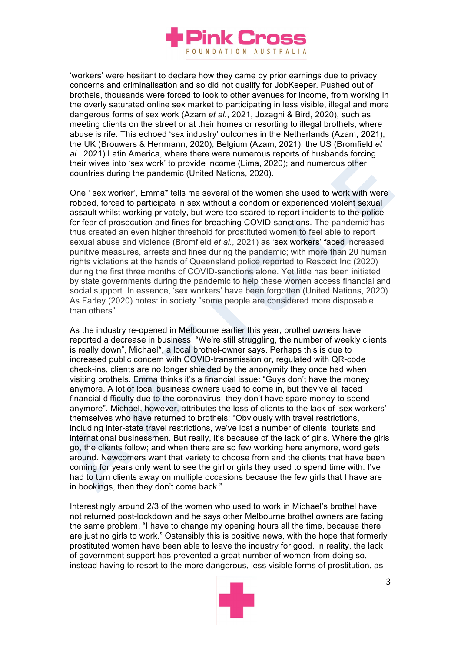

'workers' were hesitant to declare how they came by prior earnings due to privacy concerns and criminalisation and so did not qualify for JobKeeper. Pushed out of brothels, thousands were forced to look to other avenues for income, from working in the overly saturated online sex market to participating in less visible, illegal and more dangerous forms of sex work (Azam *et al.*, 2021, Jozaghi & Bird, 2020), such as meeting clients on the street or at their homes or resorting to illegal brothels, where abuse is rife. This echoed 'sex industry' outcomes in the Netherlands (Azam, 2021), the UK (Brouwers & Herrmann, 2020), Belgium (Azam, 2021), the US (Bromfield *et al.*, 2021) Latin America, where there were numerous reports of husbands forcing their wives into 'sex work' to provide income (Lima, 2020); and numerous other countries during the pandemic (United Nations, 2020).

One ' sex worker', Emma\* tells me several of the women she used to work with were robbed, forced to participate in sex without a condom or experienced violent sexual assault whilst working privately, but were too scared to report incidents to the police for fear of prosecution and fines for breaching COVID-sanctions. The pandemic has thus created an even higher threshold for prostituted women to feel able to report sexual abuse and violence (Bromfield *et al.,* 2021) as 'sex workers' faced increased punitive measures, arrests and fines during the pandemic; with more than 20 human rights violations at the hands of Queensland police reported to Respect Inc (2020) during the first three months of COVID-sanctions alone. Yet little has been initiated by state governments during the pandemic to help these women access financial and social support. In essence, 'sex workers' have been forgotten (United Nations, 2020). As Farley (2020) notes: in society "some people are considered more disposable than others".

As the industry re-opened in Melbourne earlier this year, brothel owners have reported a decrease in business. "We're still struggling, the number of weekly clients is really down", Michael\*, a local brothel-owner says. Perhaps this is due to increased public concern with COVID-transmission or, regulated with QR-code check-ins, clients are no longer shielded by the anonymity they once had when visiting brothels. Emma thinks it's a financial issue: "Guys don't have the money anymore. A lot of local business owners used to come in, but they've all faced financial difficulty due to the coronavirus; they don't have spare money to spend anymore". Michael, however, attributes the loss of clients to the lack of 'sex workers' themselves who have returned to brothels; "Obviously with travel restrictions, including inter-state travel restrictions, we've lost a number of clients: tourists and international businessmen. But really, it's because of the lack of girls. Where the girls go, the clients follow; and when there are so few working here anymore, word gets around. Newcomers want that variety to choose from and the clients that have been coming for years only want to see the girl or girls they used to spend time with. I've had to turn clients away on multiple occasions because the few girls that I have are in bookings, then they don't come back."

Interestingly around 2/3 of the women who used to work in Michael's brothel have not returned post-lockdown and he says other Melbourne brothel owners are facing the same problem. "I have to change my opening hours all the time, because there are just no girls to work." Ostensibly this is positive news, with the hope that formerly prostituted women have been able to leave the industry for good. In reality, the lack of government support has prevented a great number of women from doing so, instead having to resort to the more dangerous, less visible forms of prostitution, as

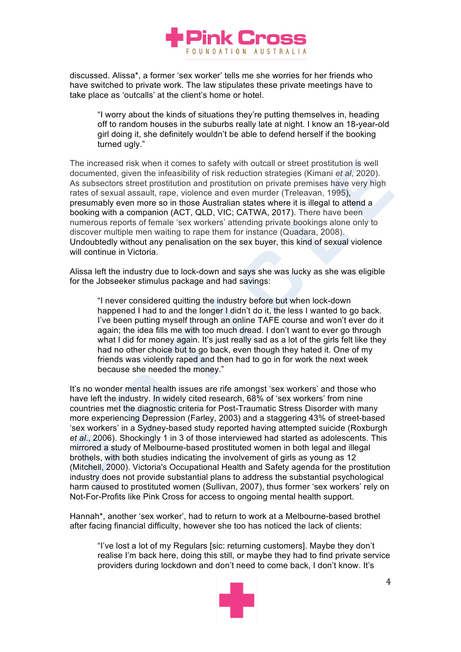

discussed. Alissa\*, a former 'sex worker' tells me she worries for her friends who have switched to private work. The law stipulates these private meetings have to take place as 'outcalls' at the client's home or hotel.

"I worry about the kinds of situations they're putting themselves in, heading off to random houses in the suburbs really late at night. I know an 18-year-old girl doing it, she definitely wouldn't be able to defend herself if the booking turned ugly."

The increased risk when it comes to safety with outcall or street prostitution is well documented, given the infeasibility of risk reduction strategies (Kimani *et al*, 2020). As subsectors street prostitution and prostitution on private premises have very high rates of sexual assault, rape, violence and even murder (Treleavan, 1995), presumably even more so in those Australian states where it is illegal to attend a booking with a companion (ACT, QLD, VIC; CATWA, 2017). There have been numerous reports of female 'sex workers' attending private bookings alone only to discover multiple men waiting to rape them for instance (Quadara, 2008). Undoubtedly without any penalisation on the sex buyer, this kind of sexual violence will continue in Victoria.

Alissa left the industry due to lock-down and says she was lucky as she was eligible for the Jobseeker stimulus package and had savings:

"I never considered quitting the industry before but when lock-down happened I had to and the longer I didn't do it, the less I wanted to go back. I've been putting myself through an online TAFE course and won't ever do it again; the idea fills me with too much dread. I don't want to ever go through what I did for money again. It's just really sad as a lot of the girls felt like they had no other choice but to go back, even though they hated it. One of my friends was violently raped and then had to go in for work the next week because she needed the money."

It's no wonder mental health issues are rife amongst 'sex workers' and those who have left the industry. In widely cited research, 68% of 'sex workers' from nine countries met the diagnostic criteria for Post-Traumatic Stress Disorder with many more experiencing Depression (Farley, 2003) and a staggering 43% of street-based 'sex workers' in a Sydney-based study reported having attempted suicide (Roxburgh *et al*., 2006). Shockingly 1 in 3 of those interviewed had started as adolescents. This mirrored a study of Melbourne-based prostituted women in both legal and illegal brothels, with both studies indicating the involvement of girls as young as 12 (Mitchell, 2000). Victoria's Occupational Health and Safety agenda for the prostitution industry does not provide substantial plans to address the substantial psychological harm caused to prostituted women (Sullivan, 2007), thus former 'sex workers' rely on Not-For-Profits like Pink Cross for access to ongoing mental health support.

Hannah\*, another 'sex worker', had to return to work at a Melbourne-based brothel after facing financial difficulty, however she too has noticed the lack of clients:

"I've lost a lot of my Regulars [sic: returning customers]. Maybe they don't realise I'm back here, doing this still, or maybe they had to find private service providers during lockdown and don't need to come back, I don't know. It's

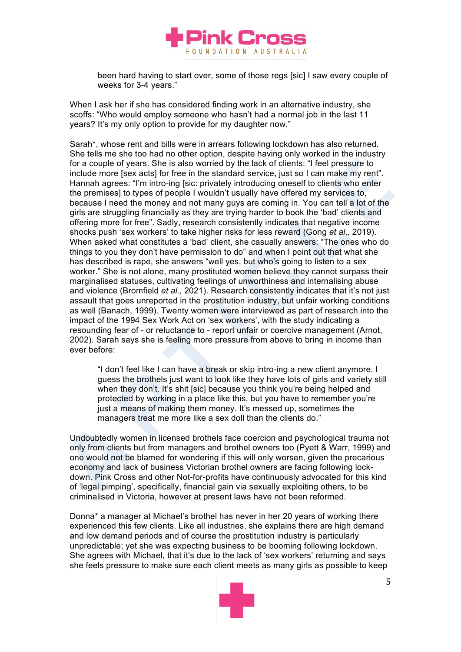

been hard having to start over, some of those regs [sic] I saw every couple of weeks for 3-4 years."

When I ask her if she has considered finding work in an alternative industry, she scoffs: "Who would employ someone who hasn't had a normal job in the last 11 years? It's my only option to provide for my daughter now."

Sarah\*, whose rent and bills were in arrears following lockdown has also returned. She tells me she too had no other option, despite having only worked in the industry for a couple of years. She is also worried by the lack of clients: "I feel pressure to include more [sex acts] for free in the standard service, just so I can make my rent". Hannah agrees: "I'm intro-ing [sic: privately introducing oneself to clients who enter the premises] to types of people I wouldn't usually have offered my services to, because I need the money and not many guys are coming in. You can tell a lot of the girls are struggling financially as they are trying harder to book the 'bad' clients and offering more for free". Sadly, research consistently indicates that negative income shocks push 'sex workers' to take higher risks for less reward (Gong *et al*., 2019). When asked what constitutes a 'bad' client, she casually answers: "The ones who do things to you they don't have permission to do" and when I point out that what she has described is rape, she answers "well yes, but who's going to listen to a sex worker." She is not alone, many prostituted women believe they cannot surpass their marginalised statuses, cultivating feelings of unworthiness and internalising abuse and violence (Bromfield *et al.,* 2021). Research consistently indicates that it's not just assault that goes unreported in the prostitution industry, but unfair working conditions as well (Banach, 1999). Twenty women were interviewed as part of research into the impact of the 1994 Sex Work Act on 'sex workers', with the study indicating a resounding fear of - or reluctance to - report unfair or coercive management (Arnot, 2002). Sarah says she is feeling more pressure from above to bring in income than ever before:

"I don't feel like I can have a break or skip intro-ing a new client anymore. I guess the brothels just want to look like they have lots of girls and variety still when they don't. It's shit [sic] because you think you're being helped and protected by working in a place like this, but you have to remember you're just a means of making them money. It's messed up, sometimes the managers treat me more like a sex doll than the clients do."

Undoubtedly women in licensed brothels face coercion and psychological trauma not only from clients but from managers and brothel owners too (Pyett & Warr, 1999) and one would not be blamed for wondering if this will only worsen, given the precarious economy and lack of business Victorian brothel owners are facing following lockdown. Pink Cross and other Not-for-profits have continuously advocated for this kind of 'legal pimping', specifically, financial gain via sexually exploiting others, to be criminalised in Victoria, however at present laws have not been reformed.

Donna\* a manager at Michael's brothel has never in her 20 years of working there experienced this few clients. Like all industries, she explains there are high demand and low demand periods and of course the prostitution industry is particularly unpredictable; yet she was expecting business to be booming following lockdown. She agrees with Michael, that it's due to the lack of 'sex workers' returning and says she feels pressure to make sure each client meets as many girls as possible to keep

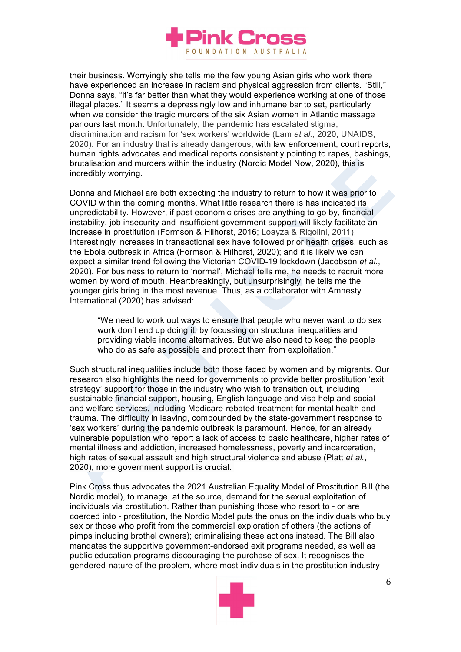

their business. Worryingly she tells me the few young Asian girls who work there have experienced an increase in racism and physical aggression from clients. "Still," Donna says, "it's far better than what they would experience working at one of those illegal places." It seems a depressingly low and inhumane bar to set, particularly when we consider the tragic murders of the six Asian women in Atlantic massage parlours last month. Unfortunately, the pandemic has escalated stigma, discrimination and racism for 'sex workers' worldwide (Lam *et al.,* 2020; UNAIDS, 2020). For an industry that is already dangerous, with law enforcement, court reports, human rights advocates and medical reports consistently pointing to rapes, bashings, brutalisation and murders within the industry (Nordic Model Now, 2020), this is incredibly worrying.

Donna and Michael are both expecting the industry to return to how it was prior to COVID within the coming months. What little research there is has indicated its unpredictability. However, if past economic crises are anything to go by, financial instability, job insecurity and insufficient government support will likely facilitate an increase in prostitution (Formson & Hilhorst, 2016; Loayza & Rigolini, 2011). Interestingly increases in transactional sex have followed prior health crises, such as the Ebola outbreak in Africa (Formson & Hilhorst, 2020); and it is likely we can expect a similar trend following the Victorian COVID-19 lockdown (Jacobson *et al*., 2020). For business to return to 'normal', Michael tells me, he needs to recruit more women by word of mouth. Heartbreakingly, but unsurprisingly, he tells me the younger girls bring in the most revenue. Thus, as a collaborator with Amnesty International (2020) has advised:

"We need to work out ways to ensure that people who never want to do sex work don't end up doing it, by focussing on structural inequalities and providing viable income alternatives. But we also need to keep the people who do as safe as possible and protect them from exploitation."

Such structural inequalities include both those faced by women and by migrants. Our research also highlights the need for governments to provide better prostitution 'exit strategy' support for those in the industry who wish to transition out, including sustainable financial support, housing, English language and visa help and social and welfare services, including Medicare-rebated treatment for mental health and trauma. The difficulty in leaving, compounded by the state-government response to 'sex workers' during the pandemic outbreak is paramount. Hence, for an already vulnerable population who report a lack of access to basic healthcare, higher rates of mental illness and addiction, increased homelessness, poverty and incarceration, high rates of sexual assault and high structural violence and abuse (Platt *et al.*, 2020), more government support is crucial.

Pink Cross thus advocates the 2021 Australian Equality Model of Prostitution Bill (the Nordic model), to manage, at the source, demand for the sexual exploitation of individuals via prostitution. Rather than punishing those who resort to - or are coerced into - prostitution, the Nordic Model puts the onus on the individuals who buy sex or those who profit from the commercial exploration of others (the actions of pimps including brothel owners); criminalising these actions instead. The Bill also mandates the supportive government-endorsed exit programs needed, as well as public education programs discouraging the purchase of sex. It recognises the gendered-nature of the problem, where most individuals in the prostitution industry

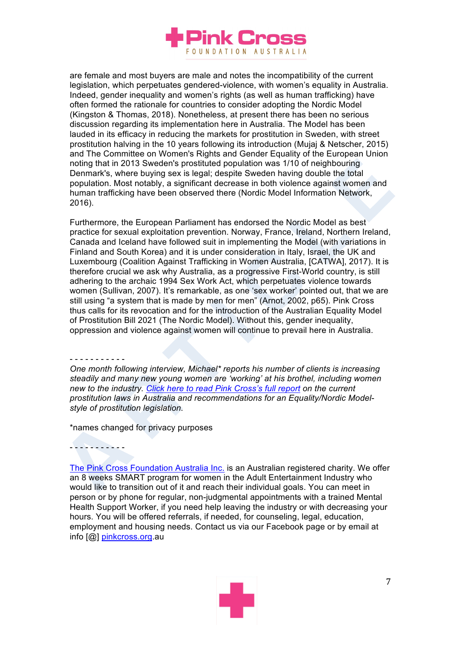

are female and most buyers are male and notes the incompatibility of the current legislation, which perpetuates gendered-violence, with women's equality in Australia. Indeed, gender inequality and women's rights (as well as human trafficking) have often formed the rationale for countries to consider adopting the Nordic Model (Kingston & Thomas, 2018). Nonetheless, at present there has been no serious discussion regarding its implementation here in Australia. The Model has been lauded in its efficacy in reducing the markets for prostitution in Sweden, with street prostitution halving in the 10 years following its introduction (Mujaj & Netscher, 2015) and The Committee on Women's Rights and Gender Equality of the European Union noting that in 2013 Sweden's prostituted population was 1/10 of neighbouring Denmark's, where buying sex is legal; despite Sweden having double the total population. Most notably, a significant decrease in both violence against women and human trafficking have been observed there (Nordic Model Information Network, 2016).

Furthermore, the European Parliament has endorsed the Nordic Model as best practice for sexual exploitation prevention. Norway, France, Ireland, Northern Ireland, Canada and Iceland have followed suit in implementing the Model (with variations in Finland and South Korea) and it is under consideration in Italy, Israel, the UK and Luxembourg (Coalition Against Trafficking in Women Australia, [CATWA], 2017). It is therefore crucial we ask why Australia, as a progressive First-World country, is still adhering to the archaic 1994 Sex Work Act, which perpetuates violence towards women (Sullivan, 2007). It's remarkable, as one 'sex worker' pointed out, that we are still using "a system that is made by men for men" (Arnot, 2002, p65). Pink Cross thus calls for its revocation and for the introduction of the Australian Equality Model of Prostitution Bill 2021 (The Nordic Model). Without this, gender inequality, oppression and violence against women will continue to prevail here in Australia.

- - - - - - - - - - -

- - - - - - - - - - -

*One month following interview, Michael\* reports his number of clients is increasing steadily and many new young women are 'working' at his brothel, including women new to the industry. Click here to read Pink Cross's full report on the current prostitution laws in Australia and recommendations for an Equality/Nordic Modelstyle of prostitution legislation.*

\*names changed for privacy purposes

The Pink Cross Foundation Australia Inc. is an Australian registered charity. We offer an 8 weeks SMART program for women in the Adult Entertainment Industry who would like to transition out of it and reach their individual goals. You can meet in person or by phone for regular, non-judgmental appointments with a trained Mental Health Support Worker, if you need help leaving the industry or with decreasing your hours. You will be offered referrals, if needed, for counseling, legal, education, employment and housing needs. Contact us via our Facebook page or by email at info [@] pinkcross.org.au

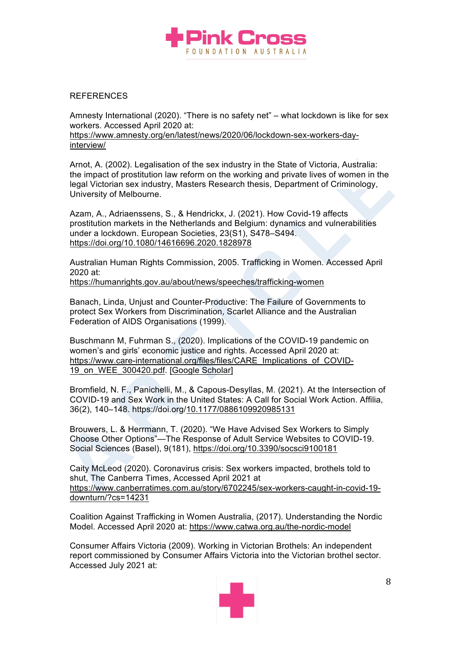

## REFERENCES

Amnesty International (2020). "There is no safety net" – what lockdown is like for sex workers. Accessed April 2020 at: https://www.amnesty.org/en/latest/news/2020/06/lockdown-sex-workers-dayinterview/

Arnot, A. (2002). Legalisation of the sex industry in the State of Victoria, Australia: the impact of prostitution law reform on the working and private lives of women in the legal Victorian sex industry, Masters Research thesis, Department of Criminology, University of Melbourne.

Azam, A., Adriaenssens, S., & Hendrickx, J. (2021). How Covid-19 affects prostitution markets in the Netherlands and Belgium: dynamics and vulnerabilities under a lockdown. European Societies, 23(S1), S478–S494. https://doi.org/10.1080/14616696.2020.1828978

Australian Human Rights Commission, 2005. Trafficking in Women. Accessed April 2020 at:

https://humanrights.gov.au/about/news/speeches/trafficking-women

Banach, Linda, Unjust and Counter-Productive: The Failure of Governments to protect Sex Workers from Discrimination, Scarlet Alliance and the Australian Federation of AIDS Organisations (1999).

Buschmann M, Fuhrman S., (2020). Implications of the COVID-19 pandemic on women's and girls' economic justice and rights. Accessed April 2020 at: https://www.care-international.org/files/files/CARE\_Implications\_of\_COVID-19\_on\_WEE\_300420.pdf. [Google Scholar]

Bromfield, N. F., Panichelli, M., & Capous-Desyllas, M. (2021). At the Intersection of COVID-19 and Sex Work in the United States: A Call for Social Work Action. Affilia, 36(2), 140–148. https://doi.org/10.1177/0886109920985131

Brouwers, L. & Herrmann, T. (2020). "We Have Advised Sex Workers to Simply Choose Other Options"—The Response of Adult Service Websites to COVID-19. Social Sciences (Basel), 9(181), https://doi.org/10.3390/socsci9100181

Caity McLeod (2020). Coronavirus crisis: Sex workers impacted, brothels told to shut, The Canberra Times, Accessed April 2021 at https://www.canberratimes.com.au/story/6702245/sex-workers-caught-in-covid-19 downturn/?cs=14231

Coalition Against Trafficking in Women Australia, (2017). Understanding the Nordic Model. Accessed April 2020 at: https://www.catwa.org.au/the-nordic-model

Consumer Affairs Victoria (2009). Working in Victorian Brothels: An independent report commissioned by Consumer Affairs Victoria into the Victorian brothel sector. Accessed July 2021 at:

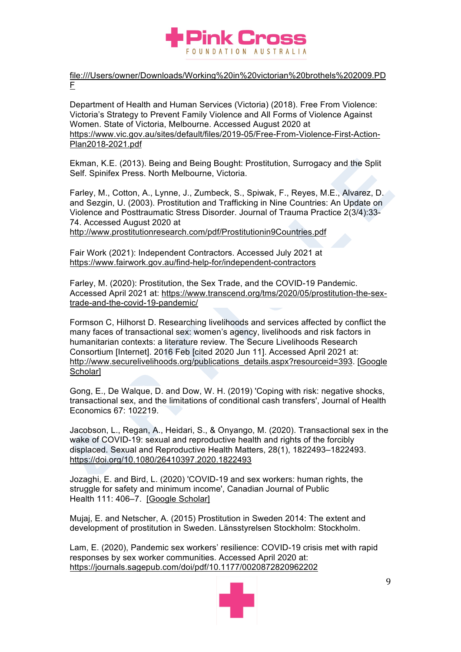

file:///Users/owner/Downloads/Working%20in%20victorian%20brothels%202009.PD F

Department of Health and Human Services (Victoria) (2018). Free From Violence: Victoria's Strategy to Prevent Family Violence and All Forms of Violence Against Women. State of Victoria, Melbourne. Accessed August 2020 at https://www.vic.gov.au/sites/default/files/2019-05/Free-From-Violence-First-Action-Plan2018-2021.pdf

Ekman, K.E. (2013). Being and Being Bought: Prostitution, Surrogacy and the Split Self. Spinifex Press. North Melbourne, Victoria.

Farley, M., Cotton, A., Lynne, J., Zumbeck, S., Spiwak, F., Reyes, M.E., Alvarez, D. and Sezgin, U. (2003). Prostitution and Trafficking in Nine Countries: An Update on Violence and Posttraumatic Stress Disorder. Journal of Trauma Practice 2(3/4):33- 74. Accessed August 2020 at

http://www.prostitutionresearch.com/pdf/Prostitutionin9Countries.pdf

Fair Work (2021): Independent Contractors. Accessed July 2021 at https://www.fairwork.gov.au/find-help-for/independent-contractors

Farley, M. (2020): Prostitution, the Sex Trade, and the COVID-19 Pandemic. Accessed April 2021 at: https://www.transcend.org/tms/2020/05/prostitution-the-sextrade-and-the-covid-19-pandemic/

Formson C, Hilhorst D. Researching livelihoods and services affected by conflict the many faces of transactional sex: women's agency, livelihoods and risk factors in humanitarian contexts: a literature review. The Secure Livelihoods Research Consortium [Internet]. 2016 Feb [cited 2020 Jun 11]. Accessed April 2021 at: http://www.securelivelihoods.org/publications\_details.aspx?resourceid=393. [Google Scholar]

Gong, E., De Walque, D. and Dow, W. H. (2019) 'Coping with risk: negative shocks, transactional sex, and the limitations of conditional cash transfers', Journal of Health Economics 67: 102219.

Jacobson, L., Regan, A., Heidari, S., & Onyango, M. (2020). Transactional sex in the wake of COVID-19: sexual and reproductive health and rights of the forcibly displaced. Sexual and Reproductive Health Matters, 28(1), 1822493–1822493. https://doi.org/10.1080/26410397.2020.1822493

Jozaghi, E. and Bird, L. (2020) 'COVID-19 and sex workers: human rights, the struggle for safety and minimum income', Canadian Journal of Public Health 111: 406-7. [Google Scholar]

Mujaj, E. and Netscher, A. (2015) Prostitution in Sweden 2014: The extent and development of prostitution in Sweden. Länsstyrelsen Stockholm: Stockholm.

Lam, E. (2020), Pandemic sex workers' resilience: COVID-19 crisis met with rapid responses by sex worker communities. Accessed April 2020 at: https://journals.sagepub.com/doi/pdf/10.1177/0020872820962202

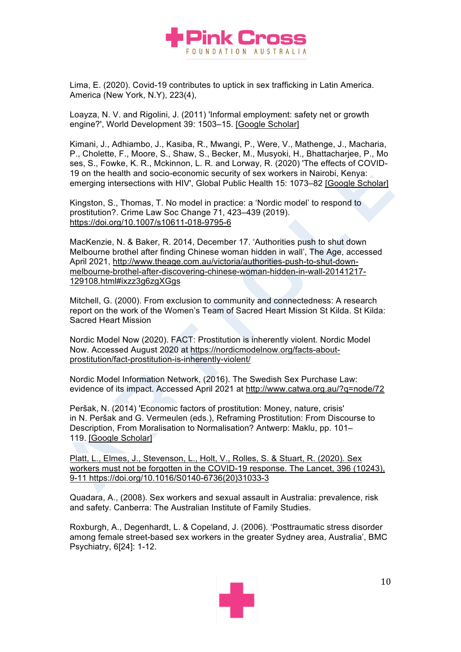

Lima, E. (2020). Covid-19 contributes to uptick in sex trafficking in Latin America. America (New York, N.Y), 223(4),

Loayza, N. V. and Rigolini, J. (2011) 'Informal employment: safety net or growth engine?', World Development 39: 1503–15. [Google Scholar]

Kimani, J., Adhiambo, J., Kasiba, R., Mwangi, P., Were, V., Mathenge, J., Macharia, P., Cholette, F., Moore, S., Shaw, S., Becker, M., Musyoki, H., Bhattacharjee, P., Mo ses, S., Fowke, K. R., Mckinnon, L. R. and Lorway, R. (2020) 'The effects of COVID-19 on the health and socio-economic security of sex workers in Nairobi, Kenya: emerging intersections with HIV', Global Public Health 15: 1073–82 [Google Scholar]

Kingston, S., Thomas, T. No model in practice: a 'Nordic model' to respond to prostitution?. Crime Law Soc Change 71, 423–439 (2019). https://doi.org/10.1007/s10611-018-9795-6

MacKenzie, N. & Baker, R. 2014, December 17. 'Authorities push to shut down Melbourne brothel after finding Chinese woman hidden in wall', The Age, accessed April 2021, http://www.theage.com.au/victoria/authorities-push-to-shut-downmelbourne-brothel-after-discovering-chinese-woman-hidden-in-wall-20141217- 129108.html#ixzz3g6zgXGgs

Mitchell, G. (2000). From exclusion to community and connectedness: A research report on the work of the Women's Team of Sacred Heart Mission St Kilda. St Kilda: Sacred Heart Mission

Nordic Model Now (2020). FACT: Prostitution is inherently violent. Nordic Model Now. Accessed August 2020 at https://nordicmodelnow.org/facts-aboutprostitution/fact-prostitution-is-inherently-violent/

Nordic Model Information Network, (2016). The Swedish Sex Purchase Law: evidence of its impact. Accessed April 2021 at http://www.catwa.org.au/?q=node/72

Peršak, N. (2014) 'Economic factors of prostitution: Money, nature, crisis' in N. Peršak and G. Vermeulen (eds.), Reframing Prostitution: From Discourse to Description, From Moralisation to Normalisation? Antwerp: Maklu, pp. 101– 119. [Google Scholar]

Platt, L., Elmes, J., Stevenson, L., Holt, V., Rolles, S. & Stuart, R. (2020). Sex workers must not be forgotten in the COVID-19 response. The Lancet, 396 (10243), 9-11 https://doi.org/10.1016/S0140-6736(20)31033-3

Quadara, A., (2008). Sex workers and sexual assault in Australia: prevalence, risk and safety. Canberra: The Australian Institute of Family Studies.

Roxburgh, A., Degenhardt, L. & Copeland, J. (2006). 'Posttraumatic stress disorder among female street-based sex workers in the greater Sydney area, Australia', BMC Psychiatry, 6[24]: 1-12.